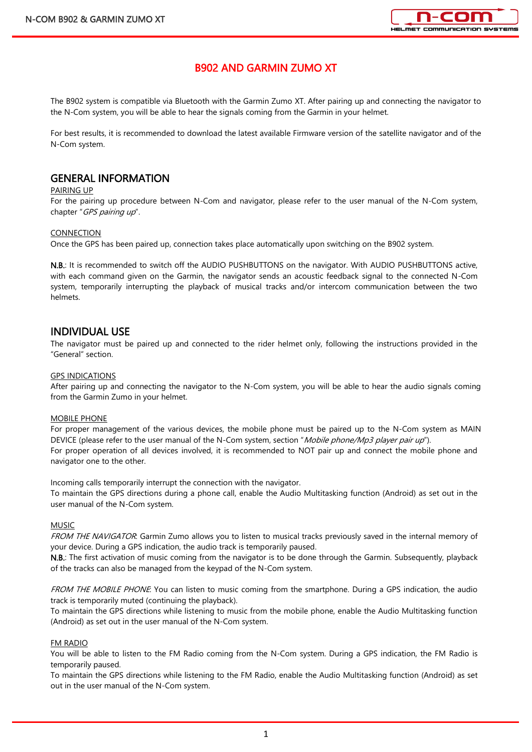

# B902 AND GARMIN ZUMO XT

The B902 system is compatible via Bluetooth with the Garmin Zumo XT. After pairing up and connecting the navigator to the N-Com system, you will be able to hear the signals coming from the Garmin in your helmet.

For best results, it is recommended to download the latest available Firmware version of the satellite navigator and of the N-Com system.

# GENERAL INFORMATION

#### PAIRING UP

For the pairing up procedure between N-Com and navigator, please refer to the user manual of the N-Com system, chapter "GPS pairing up".

#### CONNECTION

Once the GPS has been paired up, connection takes place automatically upon switching on the B902 system.

N.B.: It is recommended to switch off the AUDIO PUSHBUTTONS on the navigator. With AUDIO PUSHBUTTONS active, with each command given on the Garmin, the navigator sends an acoustic feedback signal to the connected N-Com system, temporarily interrupting the playback of musical tracks and/or intercom communication between the two helmets.

# INDIVIDUAL USE

The navigator must be paired up and connected to the rider helmet only, following the instructions provided in the "General" section.

### GPS INDICATIONS

After pairing up and connecting the navigator to the N-Com system, you will be able to hear the audio signals coming from the Garmin Zumo in your helmet.

#### MOBILE PHONE

For proper management of the various devices, the mobile phone must be paired up to the N-Com system as MAIN DEVICE (please refer to the user manual of the N-Com system, section "Mobile phone/Mp3 player pair up"). For proper operation of all devices involved, it is recommended to NOT pair up and connect the mobile phone and navigator one to the other.

Incoming calls temporarily interrupt the connection with the navigator.

To maintain the GPS directions during a phone call, enable the Audio Multitasking function (Android) as set out in the user manual of the N-Com system.

#### MUSIC

FROM THE NAVIGATOR: Garmin Zumo allows you to listen to musical tracks previously saved in the internal memory of your device. During a GPS indication, the audio track is temporarily paused.

N.B.: The first activation of music coming from the navigator is to be done through the Garmin. Subsequently, playback of the tracks can also be managed from the keypad of the N-Com system.

FROM THE MOBILE PHONE: You can listen to music coming from the smartphone. During a GPS indication, the audio track is temporarily muted (continuing the playback).

To maintain the GPS directions while listening to music from the mobile phone, enable the Audio Multitasking function (Android) as set out in the user manual of the N-Com system.

## FM RADIO

You will be able to listen to the FM Radio coming from the N-Com system. During a GPS indication, the FM Radio is temporarily paused.

To maintain the GPS directions while listening to the FM Radio, enable the Audio Multitasking function (Android) as set out in the user manual of the N-Com system.